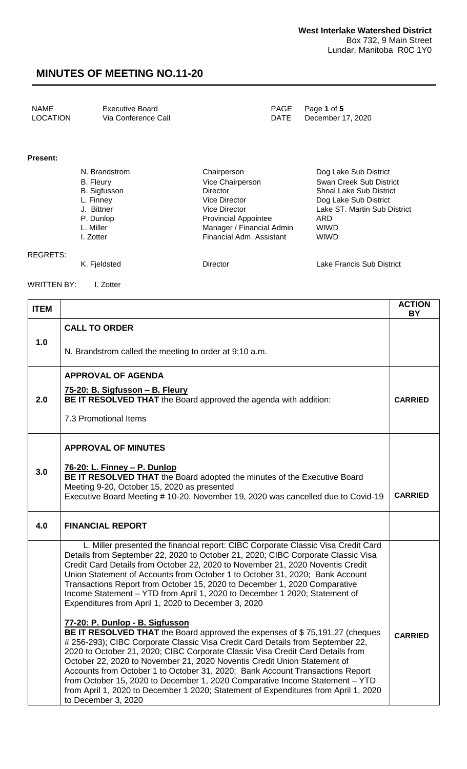| NAME     | Executive Board     | PAGE Page 1 of 5       |
|----------|---------------------|------------------------|
| LOCATION | Via Conference Call | DATE December 17, 2020 |
|          |                     |                        |

#### **Present:**

| N. Brandstrom       | Chairperson                 | Dog Lake Sub District          |
|---------------------|-----------------------------|--------------------------------|
| <b>B.</b> Fleury    | Vice Chairperson            | Swan Creek Sub District        |
| <b>B.</b> Sigfusson | Director                    | <b>Shoal Lake Sub District</b> |
| L. Finney           | Vice Director               | Dog Lake Sub District          |
| J. Bittner          | Vice Director               | Lake ST. Martin Sub District   |
| P. Dunlop           | <b>Provincial Appointee</b> | ARD                            |
| L. Miller           | Manager / Financial Admin   | <b>WIWD</b>                    |
| I. Zotter           | Financial Adm. Assistant    | <b>WIWD</b>                    |
|                     |                             |                                |
|                     |                             |                                |

| REGRETS:   |              |          |                           |
|------------|--------------|----------|---------------------------|
|            | K. Fjeldsted | Director | Lake Francis Sub District |
| . <u>.</u> | ____         |          |                           |

WRITTEN BY: I. Zotter

| <b>ITEM</b> |                                                                                                                                                                                                                                                                                                                                                                                                                                                                                                                                                           | <b>ACTION</b><br>BY |
|-------------|-----------------------------------------------------------------------------------------------------------------------------------------------------------------------------------------------------------------------------------------------------------------------------------------------------------------------------------------------------------------------------------------------------------------------------------------------------------------------------------------------------------------------------------------------------------|---------------------|
|             | <b>CALL TO ORDER</b>                                                                                                                                                                                                                                                                                                                                                                                                                                                                                                                                      |                     |
| 1.0         | N. Brandstrom called the meeting to order at 9:10 a.m.                                                                                                                                                                                                                                                                                                                                                                                                                                                                                                    |                     |
|             | <b>APPROVAL OF AGENDA</b>                                                                                                                                                                                                                                                                                                                                                                                                                                                                                                                                 |                     |
| 2.0         | 75-20: B. Sigfusson - B. Fleury<br>BE IT RESOLVED THAT the Board approved the agenda with addition:                                                                                                                                                                                                                                                                                                                                                                                                                                                       | <b>CARRIED</b>      |
|             | 7.3 Promotional Items                                                                                                                                                                                                                                                                                                                                                                                                                                                                                                                                     |                     |
|             | <b>APPROVAL OF MINUTES</b>                                                                                                                                                                                                                                                                                                                                                                                                                                                                                                                                |                     |
| 3.0         | 76-20: L. Finney - P. Dunlop                                                                                                                                                                                                                                                                                                                                                                                                                                                                                                                              |                     |
|             | BE IT RESOLVED THAT the Board adopted the minutes of the Executive Board<br>Meeting 9-20, October 15, 2020 as presented                                                                                                                                                                                                                                                                                                                                                                                                                                   |                     |
|             | Executive Board Meeting # 10-20, November 19, 2020 was cancelled due to Covid-19                                                                                                                                                                                                                                                                                                                                                                                                                                                                          | <b>CARRIED</b>      |
| 4.0         | <b>FINANCIAL REPORT</b>                                                                                                                                                                                                                                                                                                                                                                                                                                                                                                                                   |                     |
|             | L. Miller presented the financial report: CIBC Corporate Classic Visa Credit Card<br>Details from September 22, 2020 to October 21, 2020; CIBC Corporate Classic Visa<br>Credit Card Details from October 22, 2020 to November 21, 2020 Noventis Credit<br>Union Statement of Accounts from October 1 to October 31, 2020; Bank Account<br>Transactions Report from October 15, 2020 to December 1, 2020 Comparative<br>Income Statement - YTD from April 1, 2020 to December 1 2020; Statement of<br>Expenditures from April 1, 2020 to December 3, 2020 |                     |
|             | 77-20: P. Dunlop - B. Sigfusson<br><b>BE IT RESOLVED THAT</b> the Board approved the expenses of \$75,191.27 (cheques<br># 256-293); CIBC Corporate Classic Visa Credit Card Details from September 22,                                                                                                                                                                                                                                                                                                                                                   | <b>CARRIED</b>      |
|             | 2020 to October 21, 2020; CIBC Corporate Classic Visa Credit Card Details from<br>October 22, 2020 to November 21, 2020 Noventis Credit Union Statement of                                                                                                                                                                                                                                                                                                                                                                                                |                     |
|             | Accounts from October 1 to October 31, 2020; Bank Account Transactions Report<br>from October 15, 2020 to December 1, 2020 Comparative Income Statement – YTD                                                                                                                                                                                                                                                                                                                                                                                             |                     |
|             | from April 1, 2020 to December 1 2020; Statement of Expenditures from April 1, 2020<br>to December 3, 2020                                                                                                                                                                                                                                                                                                                                                                                                                                                |                     |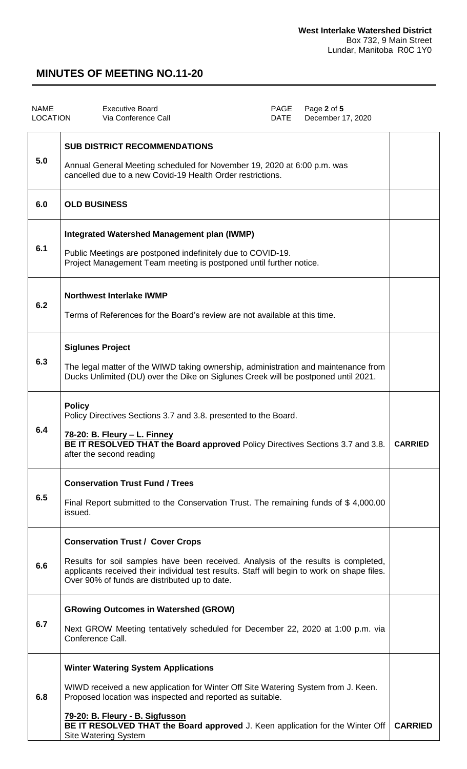| <b>NAME</b><br><b>LOCATION</b> | <b>Executive Board</b><br>Via Conference Call                                                                                                                                                                                                                                                                                                   | PAGE<br><b>DATE</b> | Page 2 of 5<br>December 17, 2020 |                |
|--------------------------------|-------------------------------------------------------------------------------------------------------------------------------------------------------------------------------------------------------------------------------------------------------------------------------------------------------------------------------------------------|---------------------|----------------------------------|----------------|
| 5.0                            | <b>SUB DISTRICT RECOMMENDATIONS</b><br>Annual General Meeting scheduled for November 19, 2020 at 6:00 p.m. was<br>cancelled due to a new Covid-19 Health Order restrictions.                                                                                                                                                                    |                     |                                  |                |
| 6.0                            | <b>OLD BUSINESS</b>                                                                                                                                                                                                                                                                                                                             |                     |                                  |                |
| 6.1                            | <b>Integrated Watershed Management plan (IWMP)</b><br>Public Meetings are postponed indefinitely due to COVID-19.<br>Project Management Team meeting is postponed until further notice.                                                                                                                                                         |                     |                                  |                |
| 6.2                            | <b>Northwest Interlake IWMP</b><br>Terms of References for the Board's review are not available at this time.                                                                                                                                                                                                                                   |                     |                                  |                |
| 6.3                            | <b>Siglunes Project</b><br>The legal matter of the WIWD taking ownership, administration and maintenance from<br>Ducks Unlimited (DU) over the Dike on Siglunes Creek will be postponed until 2021.                                                                                                                                             |                     |                                  |                |
| 6.4                            | <b>Policy</b><br>Policy Directives Sections 3.7 and 3.8. presented to the Board.<br>78-20: B. Fleury - L. Finney<br>BE IT RESOLVED THAT the Board approved Policy Directives Sections 3.7 and 3.8.<br>after the second reading                                                                                                                  |                     |                                  | <b>CARRIED</b> |
| 6.5                            | <b>Conservation Trust Fund / Trees</b><br>Final Report submitted to the Conservation Trust. The remaining funds of \$4,000.00<br>issued.                                                                                                                                                                                                        |                     |                                  |                |
| 6.6                            | <b>Conservation Trust / Cover Crops</b><br>Results for soil samples have been received. Analysis of the results is completed,<br>applicants received their individual test results. Staff will begin to work on shape files.<br>Over 90% of funds are distributed up to date.                                                                   |                     |                                  |                |
| 6.7                            | <b>GRowing Outcomes in Watershed (GROW)</b><br>Next GROW Meeting tentatively scheduled for December 22, 2020 at 1:00 p.m. via<br>Conference Call.                                                                                                                                                                                               |                     |                                  |                |
| 6.8                            | <b>Winter Watering System Applications</b><br>WIWD received a new application for Winter Off Site Watering System from J. Keen.<br>Proposed location was inspected and reported as suitable.<br>79-20: B. Fleury - B. Sigfusson<br>BE IT RESOLVED THAT the Board approved J. Keen application for the Winter Off<br><b>Site Watering System</b> |                     |                                  | <b>CARRIED</b> |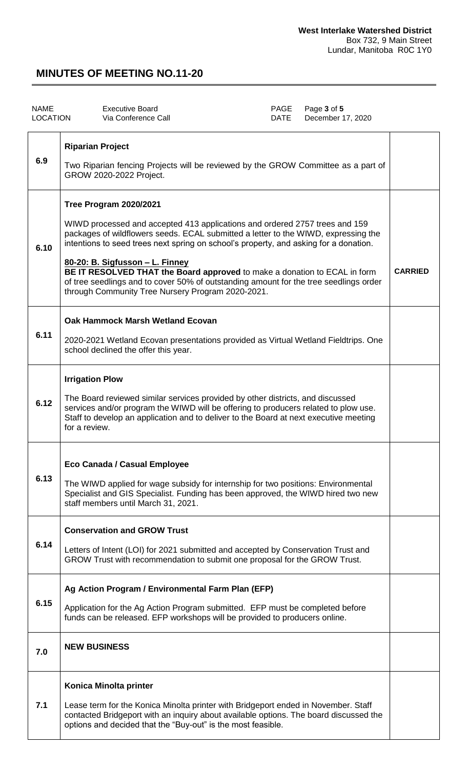| <b>NAME</b><br>LOCATION | <b>Executive Board</b><br>Via Conference Call                                                                                                                                                                                                                                                                                                                                                                                                                                                                                                      | PAGE<br><b>DATE</b> | Page 3 of 5<br>December 17, 2020 |                |
|-------------------------|----------------------------------------------------------------------------------------------------------------------------------------------------------------------------------------------------------------------------------------------------------------------------------------------------------------------------------------------------------------------------------------------------------------------------------------------------------------------------------------------------------------------------------------------------|---------------------|----------------------------------|----------------|
| 6.9                     | <b>Riparian Project</b><br>Two Riparian fencing Projects will be reviewed by the GROW Committee as a part of<br>GROW 2020-2022 Project.                                                                                                                                                                                                                                                                                                                                                                                                            |                     |                                  |                |
| 6.10                    | Tree Program 2020/2021<br>WIWD processed and accepted 413 applications and ordered 2757 trees and 159<br>packages of wildflowers seeds. ECAL submitted a letter to the WIWD, expressing the<br>intentions to seed trees next spring on school's property, and asking for a donation.<br>80-20: B. Sigfusson - L. Finney<br>BE IT RESOLVED THAT the Board approved to make a donation to ECAL in form<br>of tree seedlings and to cover 50% of outstanding amount for the tree seedlings order<br>through Community Tree Nursery Program 2020-2021. |                     |                                  | <b>CARRIED</b> |
| 6.11                    | Oak Hammock Marsh Wetland Ecovan<br>2020-2021 Wetland Ecovan presentations provided as Virtual Wetland Fieldtrips. One<br>school declined the offer this year.                                                                                                                                                                                                                                                                                                                                                                                     |                     |                                  |                |
| 6.12                    | <b>Irrigation Plow</b><br>The Board reviewed similar services provided by other districts, and discussed<br>services and/or program the WIWD will be offering to producers related to plow use.<br>Staff to develop an application and to deliver to the Board at next executive meeting<br>for a review.                                                                                                                                                                                                                                          |                     |                                  |                |
| 6.13                    | <b>Eco Canada / Casual Employee</b><br>The WIWD applied for wage subsidy for internship for two positions: Environmental<br>Specialist and GIS Specialist. Funding has been approved, the WIWD hired two new<br>staff members until March 31, 2021.                                                                                                                                                                                                                                                                                                |                     |                                  |                |
| 6.14                    | <b>Conservation and GROW Trust</b><br>Letters of Intent (LOI) for 2021 submitted and accepted by Conservation Trust and<br>GROW Trust with recommendation to submit one proposal for the GROW Trust.                                                                                                                                                                                                                                                                                                                                               |                     |                                  |                |
| 6.15                    | Ag Action Program / Environmental Farm Plan (EFP)<br>Application for the Ag Action Program submitted. EFP must be completed before<br>funds can be released. EFP workshops will be provided to producers online.                                                                                                                                                                                                                                                                                                                                   |                     |                                  |                |
| 7.0                     | <b>NEW BUSINESS</b>                                                                                                                                                                                                                                                                                                                                                                                                                                                                                                                                |                     |                                  |                |
| 7.1                     | Konica Minolta printer<br>Lease term for the Konica Minolta printer with Bridgeport ended in November. Staff<br>contacted Bridgeport with an inquiry about available options. The board discussed the<br>options and decided that the "Buy-out" is the most feasible.                                                                                                                                                                                                                                                                              |                     |                                  |                |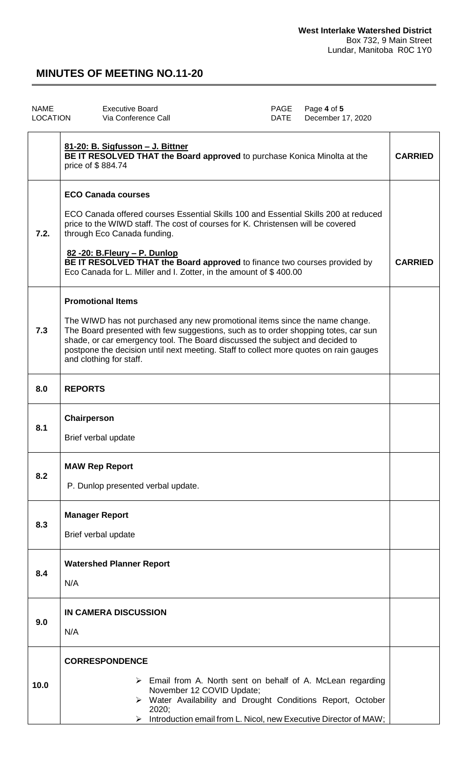| <b>NAME</b><br>LOCATION | <b>Executive Board</b><br>PAGE<br>Via Conference Call<br><b>DATE</b>                                                                                                                                                                                                                                                                                                                                                   | Page 4 of 5<br>December 17, 2020 |                |
|-------------------------|------------------------------------------------------------------------------------------------------------------------------------------------------------------------------------------------------------------------------------------------------------------------------------------------------------------------------------------------------------------------------------------------------------------------|----------------------------------|----------------|
|                         | 81-20: B. Sigfusson - J. Bittner<br>BE IT RESOLVED THAT the Board approved to purchase Konica Minolta at the<br>price of \$884.74                                                                                                                                                                                                                                                                                      |                                  | <b>CARRIED</b> |
| 7.2.                    | <b>ECO Canada courses</b><br>ECO Canada offered courses Essential Skills 100 and Essential Skills 200 at reduced<br>price to the WIWD staff. The cost of courses for K. Christensen will be covered<br>through Eco Canada funding.<br>82 - 20: B. Fleury - P. Dunlop<br>BE IT RESOLVED THAT the Board approved to finance two courses provided by<br>Eco Canada for L. Miller and I. Zotter, in the amount of \$400.00 |                                  | <b>CARRIED</b> |
| 7.3                     | <b>Promotional Items</b><br>The WIWD has not purchased any new promotional items since the name change.<br>The Board presented with few suggestions, such as to order shopping totes, car sun<br>shade, or car emergency tool. The Board discussed the subject and decided to<br>postpone the decision until next meeting. Staff to collect more quotes on rain gauges<br>and clothing for staff.                      |                                  |                |
| 8.0                     | <b>REPORTS</b>                                                                                                                                                                                                                                                                                                                                                                                                         |                                  |                |
| 8.1                     | Chairperson<br>Brief verbal update                                                                                                                                                                                                                                                                                                                                                                                     |                                  |                |
| 8.2                     | <b>MAW Rep Report</b><br>P. Dunlop presented verbal update.                                                                                                                                                                                                                                                                                                                                                            |                                  |                |
| 8.3                     | <b>Manager Report</b><br>Brief verbal update                                                                                                                                                                                                                                                                                                                                                                           |                                  |                |
| 8.4                     | <b>Watershed Planner Report</b><br>N/A                                                                                                                                                                                                                                                                                                                                                                                 |                                  |                |
| 9.0                     | <b>IN CAMERA DISCUSSION</b><br>N/A                                                                                                                                                                                                                                                                                                                                                                                     |                                  |                |
| 10.0                    | <b>CORRESPONDENCE</b><br>$\triangleright$ Email from A. North sent on behalf of A. McLean regarding<br>November 12 COVID Update;<br>> Water Availability and Drought Conditions Report, October<br>2020;<br>Introduction email from L. Nicol, new Executive Director of MAW;<br>≻                                                                                                                                      |                                  |                |